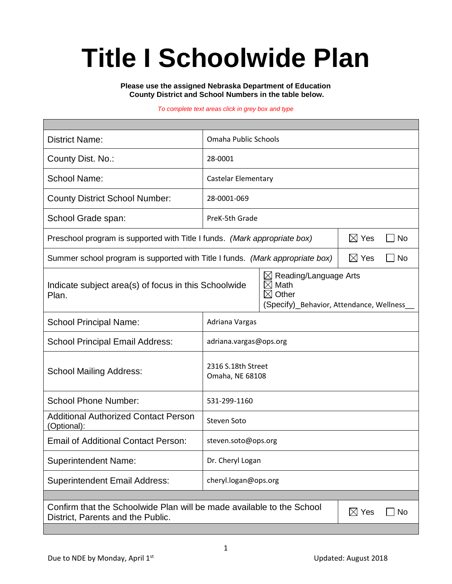# **Title I Schoolwide Plan**

**Please use the assigned Nebraska Department of Education County District and School Numbers in the table below.**

#### *To complete text areas click in grey box and type*

| <b>District Name:</b>                                                                                                               | Omaha Public Schools                                                                                             |                                                |  |  |  |
|-------------------------------------------------------------------------------------------------------------------------------------|------------------------------------------------------------------------------------------------------------------|------------------------------------------------|--|--|--|
| County Dist. No.:                                                                                                                   | 28-0001                                                                                                          |                                                |  |  |  |
| <b>School Name:</b>                                                                                                                 | Castelar Elementary                                                                                              |                                                |  |  |  |
| <b>County District School Number:</b>                                                                                               | 28-0001-069                                                                                                      |                                                |  |  |  |
| School Grade span:                                                                                                                  | PreK-5th Grade                                                                                                   |                                                |  |  |  |
| Preschool program is supported with Title I funds. (Mark appropriate box)                                                           |                                                                                                                  | $\boxtimes$ Yes<br>$\overline{\phantom{a}}$ No |  |  |  |
| Summer school program is supported with Title I funds. (Mark appropriate box)                                                       |                                                                                                                  | $\boxtimes$ Yes<br><b>No</b>                   |  |  |  |
| Indicate subject area(s) of focus in this Schoolwide<br>Plan.                                                                       | Reading/Language Arts<br>⊠<br>$\boxtimes$ Math<br>$\boxtimes$ Other<br>(Specify)_Behavior, Attendance, Wellness_ |                                                |  |  |  |
| <b>School Principal Name:</b>                                                                                                       | Adriana Vargas                                                                                                   |                                                |  |  |  |
| <b>School Principal Email Address:</b>                                                                                              | adriana.vargas@ops.org                                                                                           |                                                |  |  |  |
| <b>School Mailing Address:</b>                                                                                                      | 2316 S.18th Street<br>Omaha, NE 68108                                                                            |                                                |  |  |  |
| <b>School Phone Number:</b>                                                                                                         | 531-299-1160                                                                                                     |                                                |  |  |  |
| <b>Additional Authorized Contact Person</b><br>(Optional):                                                                          | Steven Soto                                                                                                      |                                                |  |  |  |
| <b>Email of Additional Contact Person:</b>                                                                                          | steven.soto@ops.org                                                                                              |                                                |  |  |  |
| <b>Superintendent Name:</b>                                                                                                         | Dr. Cheryl Logan                                                                                                 |                                                |  |  |  |
| <b>Superintendent Email Address:</b>                                                                                                | cheryl.logan@ops.org                                                                                             |                                                |  |  |  |
|                                                                                                                                     |                                                                                                                  |                                                |  |  |  |
| Confirm that the Schoolwide Plan will be made available to the School<br>$\boxtimes$ Yes<br>No<br>District, Parents and the Public. |                                                                                                                  |                                                |  |  |  |
|                                                                                                                                     |                                                                                                                  |                                                |  |  |  |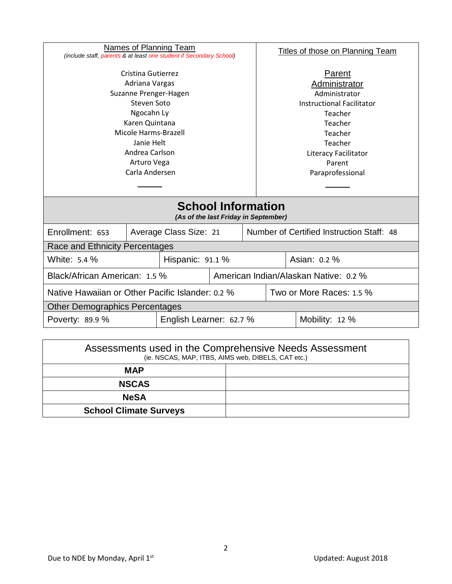| Names of Planning Team<br>(include staff, parents & at least one student if Secondary School) |                         |                        |                                                                                         | <b>Titles of those on Planning Team</b>                         |                                           |                |  |
|-----------------------------------------------------------------------------------------------|-------------------------|------------------------|-----------------------------------------------------------------------------------------|-----------------------------------------------------------------|-------------------------------------------|----------------|--|
| Cristina Gutierrez<br>Adriana Vargas<br>Suzanne Prenger-Hagen<br>Steven Soto<br>Ngocahn Ly    |                         |                        | Parent<br>Administrator<br>Administrator<br><b>Instructional Facilitator</b><br>Teacher |                                                                 |                                           |                |  |
| Karen Quintana<br>Micole Harms-Brazell<br>Janie Helt<br>Andrea Carlson<br>Arturo Vega         |                         |                        |                                                                                         | Teacher<br>Teacher<br>Teacher<br>Literacy Facilitator<br>Parent |                                           |                |  |
| Carla Andersen                                                                                |                         |                        |                                                                                         | Paraprofessional                                                |                                           |                |  |
| <b>School Information</b><br>(As of the last Friday in September)                             |                         |                        |                                                                                         |                                                                 |                                           |                |  |
| Enrollment: 653                                                                               |                         | Average Class Size: 21 |                                                                                         |                                                                 | Number of Certified Instruction Staff: 48 |                |  |
| Race and Ethnicity Percentages                                                                |                         |                        |                                                                                         |                                                                 |                                           |                |  |
| White: 5.4 %                                                                                  | Hispanic: 91.1 %        |                        |                                                                                         |                                                                 |                                           | Asian: 0.2 %   |  |
| Black/African American: 1.5 %                                                                 |                         |                        | American Indian/Alaskan Native: 0.2 %                                                   |                                                                 |                                           |                |  |
| Native Hawaiian or Other Pacific Islander: 0.2 %                                              |                         |                        |                                                                                         |                                                                 | Two or More Races: 1.5 %                  |                |  |
| <b>Other Demographics Percentages</b>                                                         |                         |                        |                                                                                         |                                                                 |                                           |                |  |
| Poverty: 89.9 %                                                                               | English Learner: 62.7 % |                        |                                                                                         |                                                                 |                                           | Mobility: 12 % |  |
|                                                                                               |                         |                        |                                                                                         |                                                                 |                                           |                |  |

| Assessments used in the Comprehensive Needs Assessment<br>(ie. NSCAS, MAP, ITBS, AIMS web, DIBELS, CAT etc.) |  |  |  |  |
|--------------------------------------------------------------------------------------------------------------|--|--|--|--|
| <b>MAP</b>                                                                                                   |  |  |  |  |
| <b>NSCAS</b>                                                                                                 |  |  |  |  |
| <b>NeSA</b>                                                                                                  |  |  |  |  |
| <b>School Climate Surveys</b>                                                                                |  |  |  |  |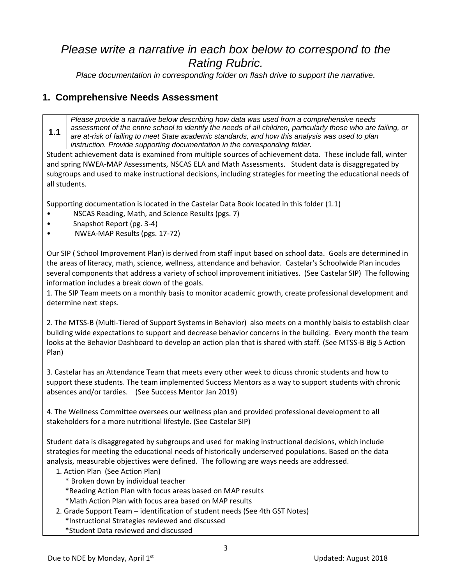## *Please write a narrative in each box below to correspond to the Rating Rubric.*

*Place documentation in corresponding folder on flash drive to support the narrative.*

### **1. Comprehensive Needs Assessment**

**1.1** *Please provide a narrative below describing how data was used from a comprehensive needs assessment of the entire school to identify the needs of all children, particularly those who are failing, or are at-risk of failing to meet State academic standards, and how this analysis was used to plan instruction. Provide supporting documentation in the corresponding folder.*

Student achievement data is examined from multiple sources of achievement data. These include fall, winter and spring NWEA-MAP Assessments, NSCAS ELA and Math Assessments. Student data is disaggregated by subgroups and used to make instructional decisions, including strategies for meeting the educational needs of all students.

Supporting documentation is located in the Castelar Data Book located in this folder (1.1)

- NSCAS Reading, Math, and Science Results (pgs. 7)
- Snapshot Report (pg. 3-4)
- NWEA-MAP Results (pgs. 17-72)

Our SIP ( School Improvement Plan) is derived from staff input based on school data. Goals are determined in the areas of literacy, math, science, wellness, attendance and behavior. Castelar's Schoolwide Plan incudes several components that address a variety of school improvement initiatives. (See Castelar SIP) The following information includes a break down of the goals.

1. The SIP Team meets on a monthly basis to monitor academic growth, create professional development and determine next steps.

2. The MTSS-B (Multi-Tiered of Support Systems in Behavior) also meets on a monthly baisis to establish clear building wide expectations to support and decrease behavior concerns in the building. Every month the team looks at the Behavior Dashboard to develop an action plan that is shared with staff. (See MTSS-B Big 5 Action Plan)

3. Castelar has an Attendance Team that meets every other week to dicuss chronic students and how to support these students. The team implemented Success Mentors as a way to support students with chronic absences and/or tardies. (See Success Mentor Jan 2019)

4. The Wellness Committee oversees our wellness plan and provided professional development to all stakeholders for a more nutritional lifestyle. (See Castelar SIP)

Student data is disaggregated by subgroups and used for making instructional decisions, which include strategies for meeting the educational needs of historically underserved populations. Based on the data analysis, measurable objectives were defined. The following are ways needs are addressed.

- 1. Action Plan (See Action Plan)
	- \* Broken down by individual teacher
	- \*Reading Action Plan with focus areas based on MAP results
	- \*Math Action Plan with focus area based on MAP results
- 2. Grade Support Team identification of student needs (See 4th GST Notes)
	- \*Instructional Strategies reviewed and discussed
	- \*Student Data reviewed and discussed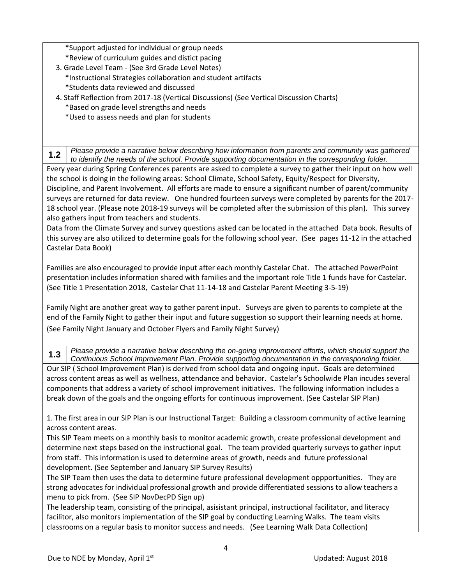\*Support adjusted for individual or group needs

- \*Review of curriculum guides and distict pacing
- 3. Grade Level Team (See 3rd Grade Level Notes)
	- \*Instructional Strategies collaboration and student artifacts
	- \*Students data reviewed and discussed
- 4. Staff Reflection from 2017-18 (Vertical Discussions) (See Vertical Discussion Charts) \*Based on grade level strengths and needs
	-
	- \*Used to assess needs and plan for students

**1.2** *Please provide a narrative below describing how information from parents and community was gathered to identify the needs of the school. Provide supporting documentation in the corresponding folder.*

Every year during Spring Conferences parents are asked to complete a survey to gather their input on how well the school is doing in the following areas: School Climate, School Safety, Equity/Respect for Diversity, Discipline, and Parent Involvement. All efforts are made to ensure a significant number of parent/community surveys are returned for data review. One hundred fourteen surveys were completed by parents for the 2017- 18 school year. (Please note 2018-19 surveys will be completed after the submission of this plan). This survey also gathers input from teachers and students.

Data from the Climate Survey and survey questions asked can be located in the attached Data book. Results of this survey are also utilized to determine goals for the following school year. (See pages 11-12 in the attached Castelar Data Book)

Families are also encouraged to provide input after each monthly Castelar Chat. The attached PowerPoint presentation includes information shared with families and the important role Title 1 funds have for Castelar. (See Title 1 Presentation 2018, Castelar Chat 11-14-18 and Castelar Parent Meeting 3-5-19)

Family Night are another great way to gather parent input. Surveys are given to parents to complete at the end of the Family Night to gather their input and future suggestion so support their learning needs at home. (See Family Night January and October Flyers and Family Night Survey)

**1.3** *Please provide a narrative below describing the on-going improvement efforts, which should support the Continuous School Improvement Plan. Provide supporting documentation in the corresponding folder.*

Our SIP ( School Improvement Plan) is derived from school data and ongoing input. Goals are determined across content areas as well as wellness, attendance and behavior. Castelar's Schoolwide Plan incudes several components that address a variety of school improvement initiatives. The following information includes a break down of the goals and the ongoing efforts for continuous improvement. (See Castelar SIP Plan)

1. The first area in our SIP Plan is our Instructional Target: Building a classroom community of active learning across content areas.

This SIP Team meets on a monthly basis to monitor academic growth, create professional development and determine next steps based on the instructional goal. The team provided quarterly surveys to gather input from staff. This information is used to determine areas of growth, needs and future professional development. (See September and January SIP Survey Results)

The SIP Team then uses the data to determine future professional development oppportunities. They are strong advocates for individual professional growth and provide differentiated sessions to allow teachers a menu to pick from. (See SIP NovDecPD Sign up)

The leadership team, consisting of the principal, asisistant principal, instructional facilitator, and literacy facilitor, also monitors implementation of the SIP goal by conducting Learning Walks. The team visits classrooms on a regular basis to monitor success and needs. (See Learning Walk Data Collection)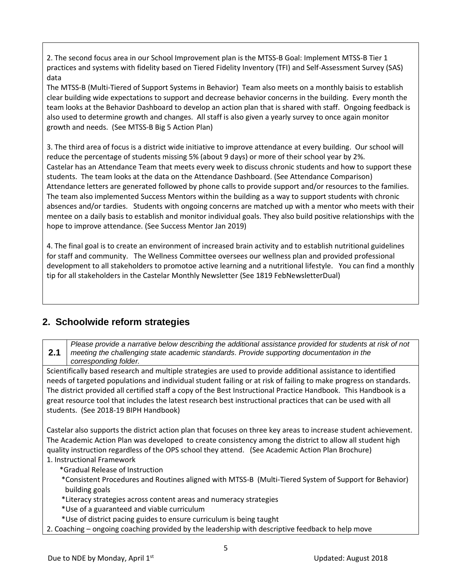2. The second focus area in our School Improvement plan is the MTSS-B Goal: Implement MTSS-B Tier 1 practices and systems with fidelity based on Tiered Fidelity Inventory (TFI) and Self-Assessment Survey (SAS) data

The MTSS-B (Multi-Tiered of Support Systems in Behavior) Team also meets on a monthly baisis to establish clear building wide expectations to support and decrease behavior concerns in the building. Every month the team looks at the Behavior Dashboard to develop an action plan that is shared with staff. Ongoing feedback is also used to determine growth and changes. All staff is also given a yearly survey to once again monitor growth and needs. (See MTSS-B Big 5 Action Plan)

3. The third area of focus is a district wide initiative to improve attendance at every building. Our school will reduce the percentage of students missing 5% (about 9 days) or more of their school year by 2%. Castelar has an Attendance Team that meets every week to discuss chronic students and how to support these students. The team looks at the data on the Attendance Dashboard. (See Attendance Comparison) Attendance letters are generated followed by phone calls to provide support and/or resources to the families. The team also implemented Success Mentors within the building as a way to support students with chronic absences and/or tardies. Students with ongoing concerns are matched up with a mentor who meets with their mentee on a daily basis to establish and monitor individual goals. They also build positive relationships with the hope to improve attendance. (See Success Mentor Jan 2019)

4. The final goal is to create an environment of increased brain activity and to establish nutritional guidelines for staff and community. The Wellness Committee oversees our wellness plan and provided professional development to all stakeholders to promotoe active learning and a nutritional lifestyle. You can find a monthly tip for all stakeholders in the Castelar Monthly Newsletter (See 1819 FebNewsletterDual)

## **2. Schoolwide reform strategies**

**2.1** *Please provide a narrative below describing the additional assistance provided for students at risk of not meeting the challenging state academic standards. Provide supporting documentation in the corresponding folder.*

Scientifically based research and multiple strategies are used to provide additional assistance to identified needs of targeted populations and individual student failing or at risk of failing to make progress on standards. The district provided all certified staff a copy of the Best Instructional Practice Handbook. This Handbook is a great resource tool that includes the latest research best instructional practices that can be used with all students. (See 2018-19 BIPH Handbook)

Castelar also supports the district action plan that focuses on three key areas to increase student achievement. The Academic Action Plan was developed to create consistency among the district to allow all student high quality instruction regardless of the OPS school they attend. (See Academic Action Plan Brochure) 1. Instructional Framework

- \*Gradual Release of Instruction
- \*Consistent Procedures and Routines aligned with MTSS-B (Multi-Tiered System of Support for Behavior) building goals
- \*Literacy strategies across content areas and numeracy strategies
- \*Use of a guaranteed and viable curriculum
- \*Use of district pacing guides to ensure curriculum is being taught
- 2. Coaching ongoing coaching provided by the leadership with descriptive feedback to help move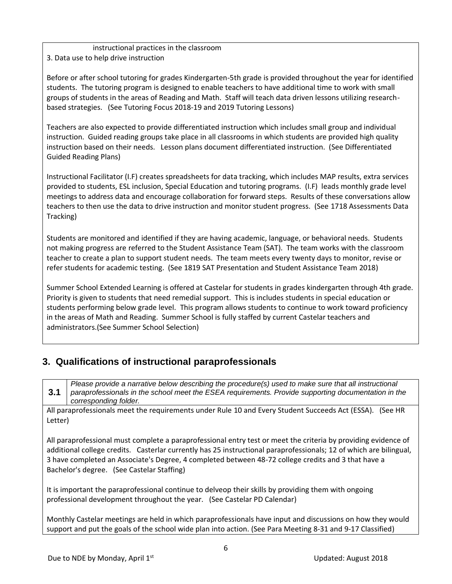instructional practices in the classroom 3. Data use to help drive instruction

Before or after school tutoring for grades Kindergarten-5th grade is provided throughout the year for identified students. The tutoring program is designed to enable teachers to have additional time to work with small groups of students in the areas of Reading and Math. Staff will teach data driven lessons utilizing researchbased strategies. (See Tutoring Focus 2018-19 and 2019 Tutoring Lessons)

Teachers are also expected to provide differentiated instruction which includes small group and individual instruction. Guided reading groups take place in all classrooms in which students are provided high quality instruction based on their needs. Lesson plans document differentiated instruction. (See Differentiated Guided Reading Plans)

Instructional Facilitator (I.F) creates spreadsheets for data tracking, which includes MAP results, extra services provided to students, ESL inclusion, Special Education and tutoring programs. (I.F) leads monthly grade level meetings to address data and encourage collaboration for forward steps. Results of these conversations allow teachers to then use the data to drive instruction and monitor student progress. (See 1718 Assessments Data Tracking)

Students are monitored and identified if they are having academic, language, or behavioral needs. Students not making progress are referred to the Student Assistance Team (SAT). The team works with the classroom teacher to create a plan to support student needs. The team meets every twenty days to monitor, revise or refer students for academic testing. (See 1819 SAT Presentation and Student Assistance Team 2018)

Summer School Extended Learning is offered at Castelar for students in grades kindergarten through 4th grade. Priority is given to students that need remedial support. This is includes students in special education or students performing below grade level. This program allows students to continue to work toward proficiency in the areas of Math and Reading. Summer School is fully staffed by current Castelar teachers and administrators.(See Summer School Selection)

## **3. Qualifications of instructional paraprofessionals**

**3.1** *Please provide a narrative below describing the procedure(s) used to make sure that all instructional paraprofessionals in the school meet the ESEA requirements. Provide supporting documentation in the corresponding folder.*

All paraprofessionals meet the requirements under Rule 10 and Every Student Succeeds Act (ESSA). (See HR Letter)

All paraprofessional must complete a paraprofessional entry test or meet the criteria by providing evidence of additional college credits. Casterlar currently has 25 instructional paraprofessionals; 12 of which are bilingual, 3 have completed an Associate's Degree, 4 completed between 48-72 college credits and 3 that have a Bachelor's degree. (See Castelar Staffing)

It is important the paraprofessional continue to delveop their skills by providing them with ongoing professional development throughout the year. (See Castelar PD Calendar)

Monthly Castelar meetings are held in which paraprofessionals have input and discussions on how they would support and put the goals of the school wide plan into action. (See Para Meeting 8-31 and 9-17 Classified)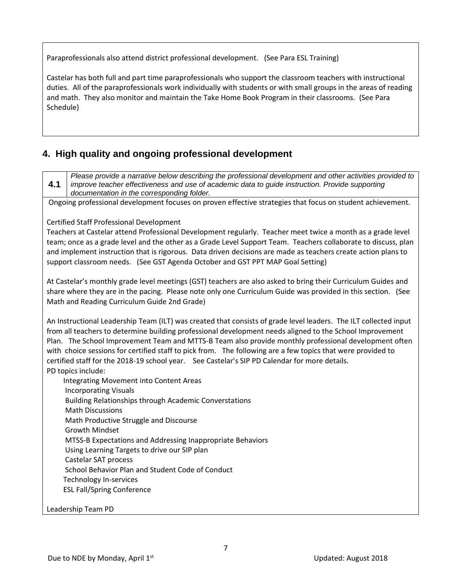Paraprofessionals also attend district professional development. (See Para ESL Training)

Castelar has both full and part time paraprofessionals who support the classroom teachers with instructional duties. All of the paraprofessionals work individually with students or with small groups in the areas of reading and math. They also monitor and maintain the Take Home Book Program in their classrooms. (See Para Schedule)

## **4. High quality and ongoing professional development**

**4.1** *Please provide a narrative below describing the professional development and other activities provided to improve teacher effectiveness and use of academic data to guide instruction. Provide supporting documentation in the corresponding folder.*

Ongoing professional development focuses on proven effective strategies that focus on student achievement.

#### Certified Staff Professional Development

Teachers at Castelar attend Professional Development regularly. Teacher meet twice a month as a grade level team; once as a grade level and the other as a Grade Level Support Team. Teachers collaborate to discuss, plan and implement instruction that is rigorous. Data driven decisions are made as teachers create action plans to support classroom needs. (See GST Agenda October and GST PPT MAP Goal Setting)

At Castelar's monthly grade level meetings (GST) teachers are also asked to bring their Curriculum Guides and share where they are in the pacing. Please note only one Curriculum Guide was provided in this section. (See Math and Reading Curriculum Guide 2nd Grade)

An Instructional Leadership Team (ILT) was created that consists of grade level leaders. The ILT collected input from all teachers to determine building professional development needs aligned to the School Improvement Plan. The School Improvement Team and MTTS-B Team also provide monthly professional development often with choice sessions for certified staff to pick from. The following are a few topics that were provided to certified staff for the 2018-19 school year. See Castelar's SIP PD Calendar for more details. PD topics include:

 Integrating Movement into Content Areas Incorporating Visuals Building Relationships through Academic Converstations Math Discussions Math Productive Struggle and Discourse Growth Mindset MTSS-B Expectations and Addressing Inappropriate Behaviors Using Learning Targets to drive our SIP plan Castelar SAT process School Behavior Plan and Student Code of Conduct Technology In-services ESL Fall/Spring Conference

#### Leadership Team PD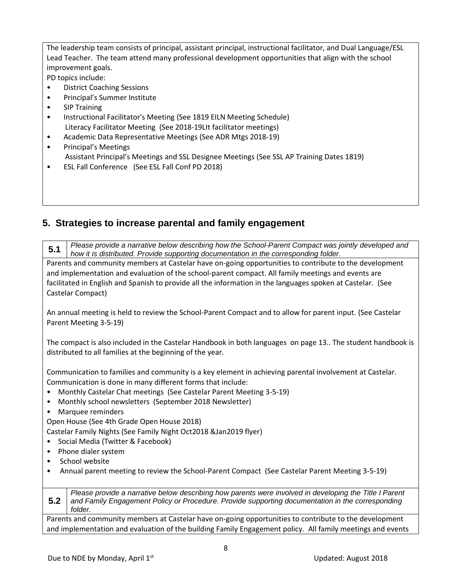The leadership team consists of principal, assistant principal, instructional facilitator, and Dual Language/ESL Lead Teacher. The team attend many professional development opportunities that align with the school improvement goals.

PD topics include:

- District Coaching Sessions
- Principal's Summer Institute
- SIP Training
- Instructional Facilitator's Meeting (See 1819 EILN Meeting Schedule) Literacy Facilitator Meeting (See 2018-19LIt facilitator meetings)
- Academic Data Representative Meetings (See ADR Mtgs 2018-19)
- Principal's Meetings Assistant Principal's Meetings and SSL Designee Meetings (See SSL AP Training Dates 1819)
- ESL Fall Conference (See ESL Fall Conf PD 2018)

## **5. Strategies to increase parental and family engagement**

**5.1** *Please provide a narrative below describing how the School-Parent Compact was jointly developed and how it is distributed. Provide supporting documentation in the corresponding folder.*

Parents and community members at Castelar have on-going opportunities to contribute to the development and implementation and evaluation of the school-parent compact. All family meetings and events are facilitated in English and Spanish to provide all the information in the languages spoken at Castelar. (See Castelar Compact)

An annual meeting is held to review the School-Parent Compact and to allow for parent input. (See Castelar Parent Meeting 3-5-19)

The compact is also included in the Castelar Handbook in both languages on page 13.. The student handbook is distributed to all families at the beginning of the year.

Communication to families and community is a key element in achieving parental involvement at Castelar. Communication is done in many different forms that include:

- Monthly Castelar Chat meetings (See Castelar Parent Meeting 3-5-19)
- Monthly school newsletters (September 2018 Newsletter)
- Marquee reminders

Open House (See 4th Grade Open House 2018)

Castelar Family Nights (See Family Night Oct2018 &Jan2019 flyer)

- Social Media (Twitter & Facebook)
- Phone dialer system
- School website
- Annual parent meeting to review the School-Parent Compact (See Castelar Parent Meeting 3-5-19)

**5.2** *Please provide a narrative below describing how parents were involved in developing the Title I Parent and Family Engagement Policy or Procedure. Provide supporting documentation in the corresponding folder.*

Parents and community members at Castelar have on-going opportunities to contribute to the development and implementation and evaluation of the building Family Engagement policy. All family meetings and events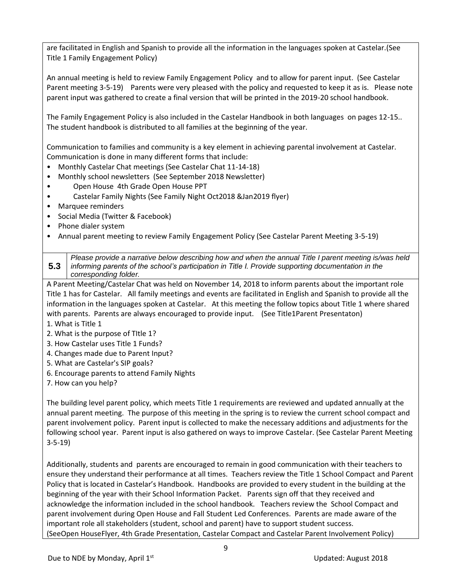are facilitated in English and Spanish to provide all the information in the languages spoken at Castelar.(See Title 1 Family Engagement Policy)

An annual meeting is held to review Family Engagement Policy and to allow for parent input. (See Castelar Parent meeting 3-5-19) Parents were very pleased with the policy and requested to keep it as is. Please note parent input was gathered to create a final version that will be printed in the 2019-20 school handbook.

The Family Engagement Policy is also included in the Castelar Handbook in both languages on pages 12-15.. The student handbook is distributed to all families at the beginning of the year.

Communication to families and community is a key element in achieving parental involvement at Castelar. Communication is done in many different forms that include:

- Monthly Castelar Chat meetings (See Castelar Chat 11-14-18)
- Monthly school newsletters (See September 2018 Newsletter)
- Open House 4th Grade Open House PPT
- Castelar Family Nights (See Family Night Oct2018 &Jan2019 flyer)
- Marquee reminders
- Social Media (Twitter & Facebook)
- Phone dialer system
- Annual parent meeting to review Family Engagement Policy (See Castelar Parent Meeting 3-5-19)

**5.3** *Please provide a narrative below describing how and when the annual Title I parent meeting is/was held informing parents of the school's participation in Title I. Provide supporting documentation in the corresponding folder.*

A Parent Meeting/Castelar Chat was held on November 14, 2018 to inform parents about the important role Title 1 has for Castelar. All family meetings and events are facilitated in English and Spanish to provide all the information in the languages spoken at Castelar. At this meeting the follow topics about Title 1 where shared with parents. Parents are always encouraged to provide input. (See Title1Parent Presentaton)

- 1. What is Title 1
- 2. What is the purpose of TItle 1?
- 3. How Castelar uses Title 1 Funds?
- 4. Changes made due to Parent Input?
- 5. What are Castelar's SIP goals?
- 6. Encourage parents to attend Family Nights
- 7. How can you help?

The building level parent policy, which meets Title 1 requirements are reviewed and updated annually at the annual parent meeting. The purpose of this meeting in the spring is to review the current school compact and parent involvement policy. Parent input is collected to make the necessary additions and adjustments for the following school year. Parent input is also gathered on ways to improve Castelar. (See Castelar Parent Meeting 3-5-19)

Additionally, students and parents are encouraged to remain in good communication with their teachers to ensure they understand their performance at all times. Teachers review the Title 1 School Compact and Parent Policy that is located in Castelar's Handbook. Handbooks are provided to every student in the building at the beginning of the year with their School Information Packet. Parents sign off that they received and acknowledge the information included in the school handbook. Teachers review the School Compact and parent involvement during Open House and Fall Student Led Conferences. Parents are made aware of the important role all stakeholders (student, school and parent) have to support student success. (SeeOpen HouseFlyer, 4th Grade Presentation, Castelar Compact and Castelar Parent Involvement Policy)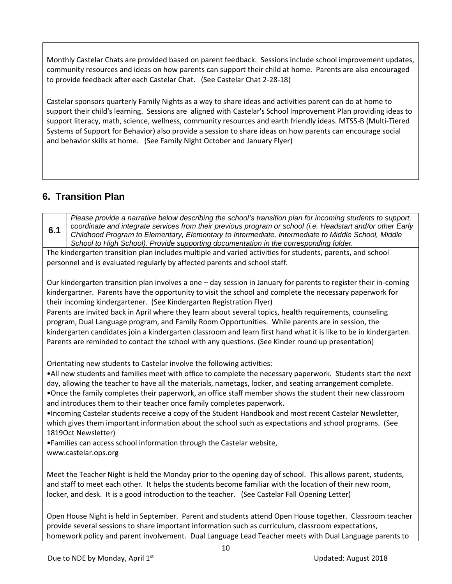Monthly Castelar Chats are provided based on parent feedback. Sessions include school improvement updates, community resources and ideas on how parents can support their child at home. Parents are also encouraged to provide feedback after each Castelar Chat. (See Castelar Chat 2-28-18)

Castelar sponsors quarterly Family Nights as a way to share ideas and activities parent can do at home to support their child's learning. Sessions are aligned with Castelar's School Improvement Plan providing ideas to support literacy, math, science, wellness, community resources and earth friendly ideas. MTSS-B (Multi-Tiered Systems of Support for Behavior) also provide a session to share ideas on how parents can encourage social and behavior skills at home. (See Family NIght October and January Flyer)

## **6. Transition Plan**

**6.1** *Please provide a narrative below describing the school's transition plan for incoming students to support, coordinate and integrate services from their previous program or school (i.e. Headstart and/or other Early Childhood Program to Elementary, Elementary to Intermediate, Intermediate to Middle School, Middle School to High School). Provide supporting documentation in the corresponding folder.*

The kindergarten transition plan includes multiple and varied activities for students, parents, and school personnel and is evaluated regularly by affected parents and school staff.

Our kindergarten transition plan involves a one – day session in January for parents to register their in-coming kindergartner. Parents have the opportunity to visit the school and complete the necessary paperwork for their incoming kindergartener. (See Kindergarten Registration Flyer)

Parents are invited back in April where they learn about several topics, health requirements, counseling program, Dual Language program, and Family Room Opportunities. While parents are in session, the kindergarten candidates join a kindergarten classroom and learn first hand what it is like to be in kindergarten. Parents are reminded to contact the school with any questions. (See Kinder round up presentation)

Orientating new students to Castelar involve the following activities:

•All new students and families meet with office to complete the necessary paperwork. Students start the next day, allowing the teacher to have all the materials, nametags, locker, and seating arrangement complete. •Once the family completes their paperwork, an office staff member shows the student their new classroom

and introduces them to their teacher once family completes paperwork.

•Incoming Castelar students receive a copy of the Student Handbook and most recent Castelar Newsletter, which gives them important information about the school such as expectations and school programs. (See 1819Oct Newsletter)

•Families can access school information through the Castelar website, www.castelar.ops.org

Meet the Teacher Night is held the Monday prior to the opening day of school. This allows parent, students, and staff to meet each other. It helps the students become familiar with the location of their new room, locker, and desk. It is a good introduction to the teacher. (See Castelar Fall Opening Letter)

Open House Night is held in September. Parent and students attend Open House together. Classroom teacher provide several sessions to share important information such as curriculum, classroom expectations, homework policy and parent involvement. Dual Language Lead Teacher meets with Dual Language parents to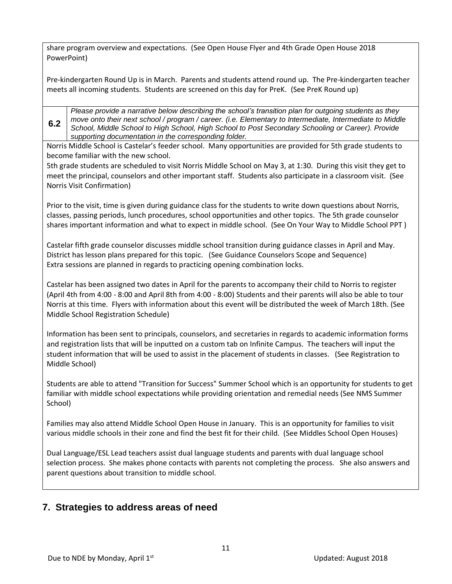share program overview and expectations. (See Open House Flyer and 4th Grade Open House 2018 PowerPoint)

Pre-kindergarten Round Up is in March. Parents and students attend round up. The Pre-kindergarten teacher meets all incoming students. Students are screened on this day for PreK. (See PreK Round up)

**6.2** *Please provide a narrative below describing the school's transition plan for outgoing students as they move onto their next school / program / career. (i.e. Elementary to Intermediate, Intermediate to Middle School, Middle School to High School, High School to Post Secondary Schooling or Career). Provide supporting documentation in the corresponding folder.*

Norris Middle School is Castelar's feeder school. Many opportunities are provided for 5th grade students to become familiar with the new school.

5th grade students are scheduled to visit Norris Middle School on May 3, at 1:30. During this visit they get to meet the principal, counselors and other important staff. Students also participate in a classroom visit. (See Norris Visit Confirmation)

Prior to the visit, time is given during guidance class for the students to write down questions about Norris, classes, passing periods, lunch procedures, school opportunities and other topics. The 5th grade counselor shares important information and what to expect in middle school. (See On Your Way to Middle School PPT )

Castelar fifth grade counselor discusses middle school transition during guidance classes in April and May. District has lesson plans prepared for this topic. (See Guidance Counselors Scope and Sequence) Extra sessions are planned in regards to practicing opening combination locks.

Castelar has been assigned two dates in April for the parents to accompany their child to Norris to register (April 4th from 4:00 - 8:00 and April 8th from 4:00 - 8:00) Students and their parents will also be able to tour Norris at this time. Flyers with information about this event will be distributed the week of March 18th. (See Middle School Registration Schedule)

Information has been sent to principals, counselors, and secretaries in regards to academic information forms and registration lists that will be inputted on a custom tab on Infinite Campus. The teachers will input the student information that will be used to assist in the placement of students in classes. (See Registration to Middle School)

Students are able to attend "Transition for Success" Summer School which is an opportunity for students to get familiar with middle school expectations while providing orientation and remedial needs (See NMS Summer School)

Families may also attend Middle School Open House in January. This is an opportunity for families to visit various middle schools in their zone and find the best fit for their child. (See Middles School Open Houses)

Dual Language/ESL Lead teachers assist dual language students and parents with dual language school selection process. She makes phone contacts with parents not completing the process. She also answers and parent questions about transition to middle school.

## **7. Strategies to address areas of need**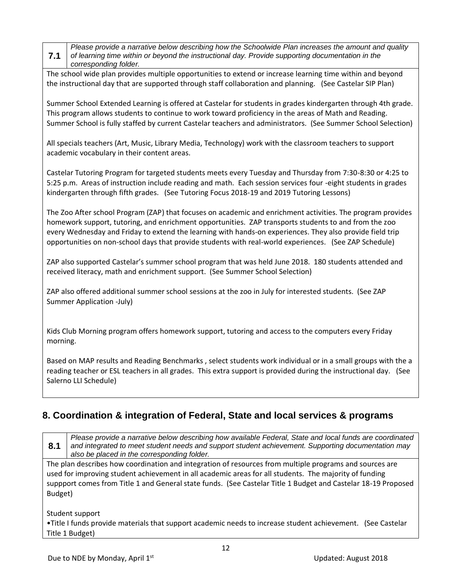**7.1** *Please provide a narrative below describing how the Schoolwide Plan increases the amount and quality of learning time within or beyond the instructional day. Provide supporting documentation in the corresponding folder.*

The school wide plan provides multiple opportunities to extend or increase learning time within and beyond the instructional day that are supported through staff collaboration and planning. (See Castelar SIP Plan)

Summer School Extended Learning is offered at Castelar for students in grades kindergarten through 4th grade. This program allows students to continue to work toward proficiency in the areas of Math and Reading. Summer School is fully staffed by current Castelar teachers and administrators. (See Summer School Selection)

All specials teachers (Art, Music, Library Media, Technology) work with the classroom teachers to support academic vocabulary in their content areas.

Castelar Tutoring Program for targeted students meets every Tuesday and Thursday from 7:30-8:30 or 4:25 to 5:25 p.m. Areas of instruction include reading and math. Each session services four -eight students in grades kindergarten through fifth grades. (See Tutoring Focus 2018-19 and 2019 Tutoring Lessons)

The Zoo After school Program (ZAP) that focuses on academic and enrichment activities. The program provides homework support, tutoring, and enrichment opportunities. ZAP transports students to and from the zoo every Wednesday and Friday to extend the learning with hands-on experiences. They also provide field trip opportunities on non-school days that provide students with real-world experiences. (See ZAP Schedule)

ZAP also supported Castelar's summer school program that was held June 2018. 180 students attended and received literacy, math and enrichment support. (See Summer School Selection)

ZAP also offered additional summer school sessions at the zoo in July for interested students. (See ZAP Summer Application -July)

Kids Club Morning program offers homework support, tutoring and access to the computers every Friday morning.

Based on MAP results and Reading Benchmarks , select students work individual or in a small groups with the a reading teacher or ESL teachers in all grades. This extra support is provided during the instructional day. (See Salerno LLI Schedule)

## **8. Coordination & integration of Federal, State and local services & programs**

**8.1** *Please provide a narrative below describing how available Federal, State and local funds are coordinated and integrated to meet student needs and support student achievement. Supporting documentation may also be placed in the corresponding folder.*

The plan describes how coordination and integration of resources from multiple programs and sources are used for improving student achievement in all academic areas for all students. The majority of funding suppport comes from Title 1 and General state funds. (See Castelar Title 1 Budget and Castelar 18-19 Proposed Budget)

Student support

•Title I funds provide materials that support academic needs to increase student achievement. (See Castelar Title 1 Budget)